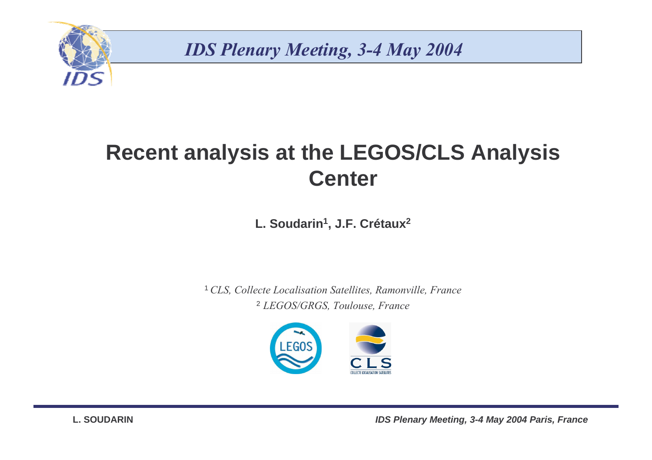

**IDS Plenary Meeting, 3-4 May 2004** 

## **Recent analysis at the LEGOS/CLS Analysis Center**

**L. Soudarin<sup>1</sup>, J.F. Crétaux<sup>2</sup>**

<sup>1</sup> CLS, Collecte Localisation Satellites, Ramonville, France <sup>2</sup> LEGOS/GRGS, Toulouse, France

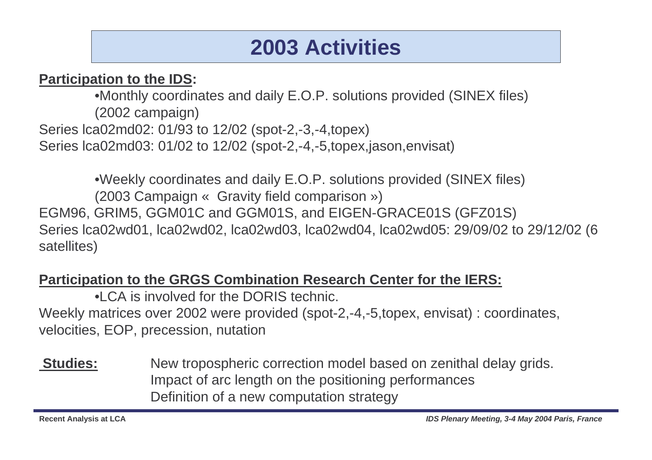### **2003 Activities**

### **Participation to the IDS:**

 •Monthly coordinates and daily E.O.P. solutions provided (SINEX files)(2002 campaign)Series lca02md02: 01/93 to 12/02 (spot-2,-3,-4,topex)Series lca02md03: 01/02 to 12/02 (spot-2,-4,-5,topex,jason,envisat)

•Weekly coordinates and daily E.O.P. solutions provided (SINEX files) (2003 Campaign « Gravity field comparison »)EGM96, GRIM5, GGM01C and GGM01S, and EIGEN-GRACE01S (GFZ01S)Series lca02wd01, lca02wd02, lca02wd03, lca02wd04, lca02wd05: 29/09/02 to 29/12/02 (6 satellites)

### **Participation to the GRGS Combination Research Center for the IERS:**

•LCA is involved for the DORIS technic. Weekly matrices over 2002 were provided (spot-2,-4,-5,topex, envisat) : coordinates, velocities, EOP, precession, nutation

#### **Studies:** New tropospheric correction model based on zenithal delay grids. Impact of arc length on the positioning performancesDefinition of a new computation strategy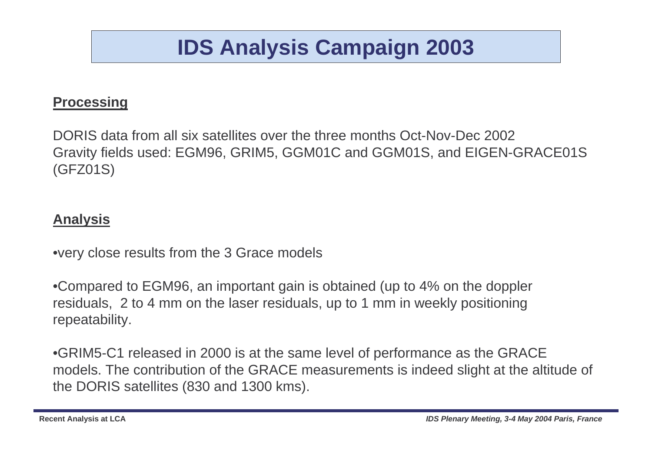# **IDS Analysis Campaign 2003**

#### **Processing**

DORIS data from all six satellites over the three months Oct-Nov-Dec 2002 Gravity fields used: EGM96, GRIM5, GGM01C and GGM01S, and EIGEN-GRACE01S (GFZ01S)

#### **Analysis**

•very close results from the 3 Grace models

•Compared to EGM96, an important gain is obtained (up to 4% on the dopplerresiduals, 2 to 4 mm on the laser residuals, up to 1 mm in weekly positioning repeatability.

•GRIM5-C1 released in 2000 is at the same level of performance as the GRACE models. The contribution of the GRACE measurements is indeed slight at the altitude of the DORIS satellites (830 and 1300 kms).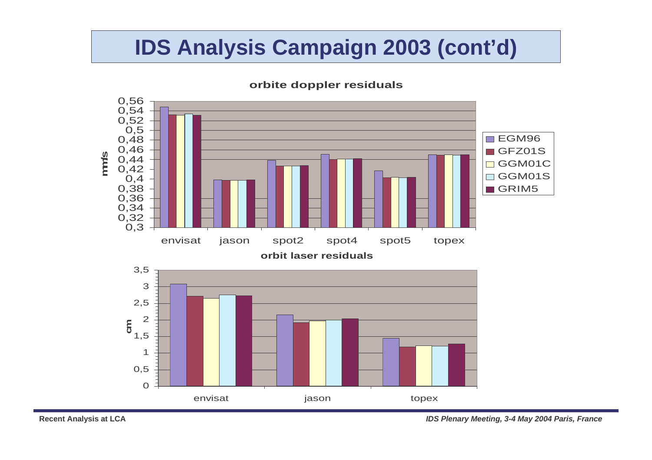## **IDS Analysis Campaign 2003 (cont'd)**

#### **orbite doppler residuals**



**IDS Plenary Meeting, 3-4 May 2004 Paris, France**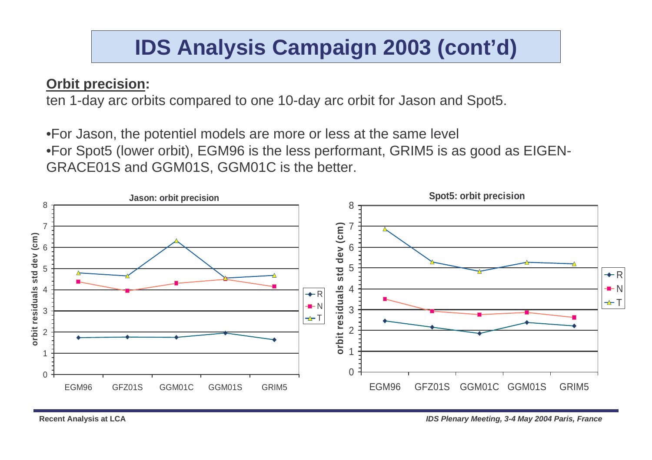# **IDS Analysis Campaign 2003 (cont'd)**

#### **Orbit precision:**

ten 1-day arc orbits compared to one 10-day arc orbit for Jason and Spot5.

•For Jason, the potentiel models are more or less at the same level •For Spot5 (lower orbit), EGM96 is the less performant, GRIM5 is as good as EIGEN-GRACE01S and GGM01S, GGM01C is the better.

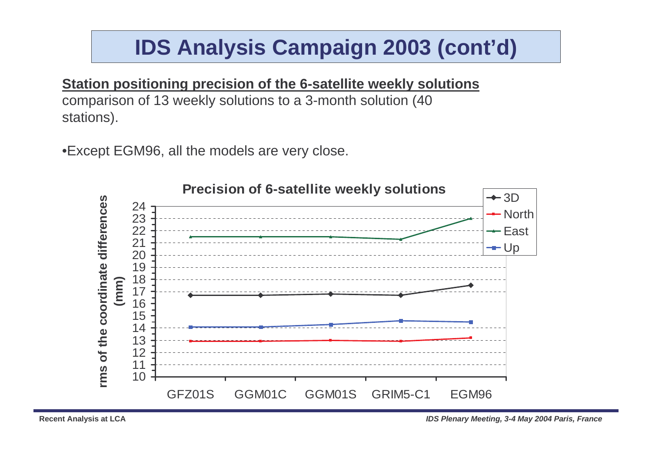# **IDS Analysis Campaign 2003 (cont'd)**

**Station positioning precision of the 6-satellite weekly solutions**

comparison of 13 weekly solutions to a 3-month solution (40 stations).

•Except EGM96, all the models are very close.



**IDS Plenary Meeting, 3-4 May 2004 Paris, France**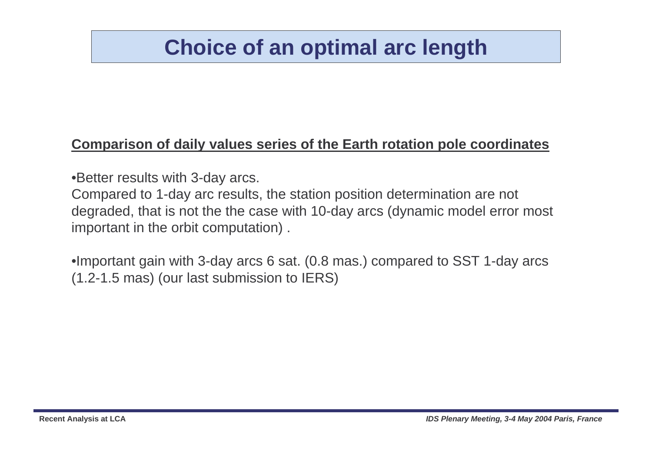# **Choice of an optimal arc length**

#### **Comparison of daily values series of the Earth rotation pole coordinates**

•Better results with 3-day arcs.

Compared to 1-day arc results, the station position determination are not degraded, that is not the the case with 10-day arcs (dynamic model error most important in the orbit computation) .

•Important gain with 3-day arcs 6 sat. (0.8 mas.) compared to SST 1-day arcs(1.2-1.5 mas) (our last submission to IERS)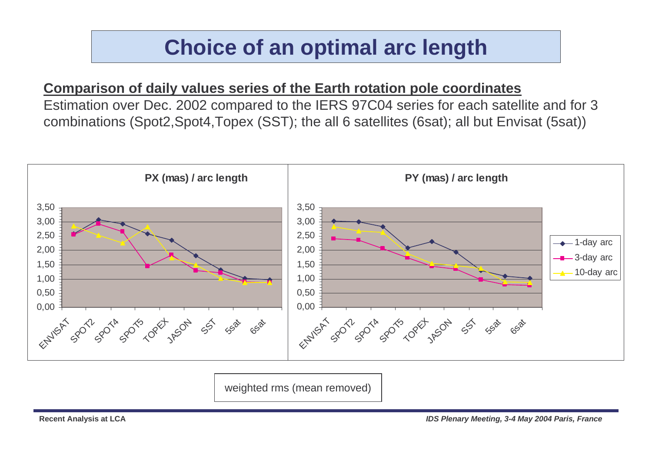# **Choice of an optimal arc length**

#### **Comparison of daily values series of the Earth rotation pole coordinates**

 Estimation over Dec. 2002 compared to the IERS 97C04 series for each satellite and for 3 combinations (Spot2,Spot4,Topex (SST); the all 6 satellites (6sat); all but Envisat (5sat))



weighted rms (mean removed)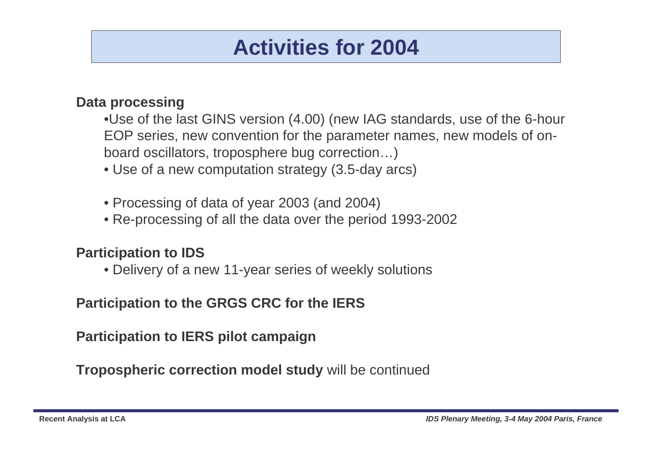### **Activities for 2004**

#### **Data processing**

 •Use of the last GINS version (4.00) (new IAG standards, use of the 6-hour EOP series, new convention for the parameter names, new models of onboard oscillators, troposphere bug correction…)

- Use of a new computation strategy (3.5-day arcs)
- Processing of data of year 2003 (and 2004)
- Re-processing of all the data over the period 1993-2002

#### **Participation to IDS**

• Delivery of a new 11-year series of weekly solutions

#### **Participation to the GRGS CRC for the IERS**

**Participation to IERS pilot campaign**

**Tropospheric correction model study** will be continued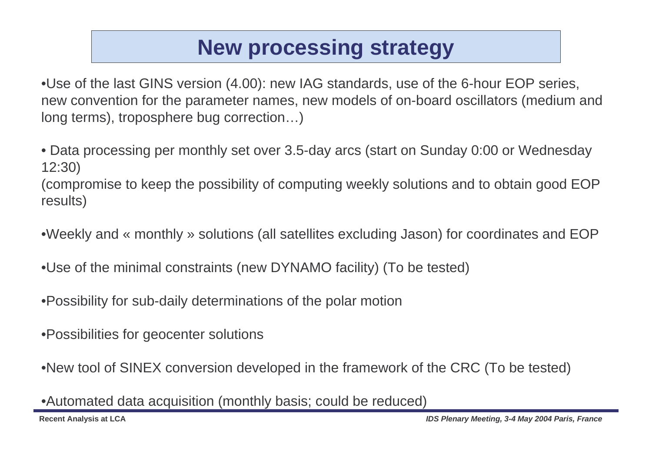## **New processing strategy**

•Use of the last GINS version (4.00): new IAG standards, use of the 6-hour EOP series, new convention for the parameter names, new models of on-board oscillators (medium andlong terms), troposphere bug correction…)

• Data processing per monthly set over 3.5-day arcs (start on Sunday 0:00 or Wednesday 12:30)

(compromise to keep the possibility of computing weekly solutions and to obtain good EOP results)

•Weekly and « monthly » solutions (all satellites excluding Jason) for coordinates and EOP

•Use of the minimal constraints (new DYNAMO facility) (To be tested)

•Possibility for sub-daily determinations of the polar motion

•Possibilities for geocenter solutions

•New tool of SINEX conversion developed in the framework of the CRC (To be tested)

•Automated data acquisition (monthly basis; could be reduced)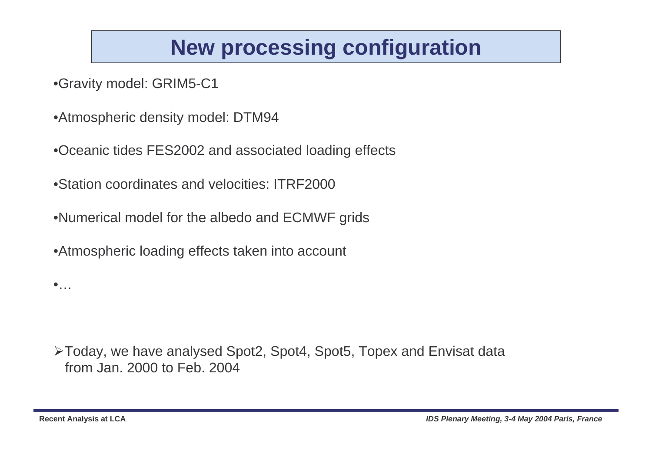# **New processing configuration**

•Gravity model: GRIM5-C1

•Atmospheric density model: DTM94

•Oceanic tides FES2002 and associated loading effects

•Station coordinates and velocities: ITRF2000

•Numerical model for the albedo and ECMWF grids

•Atmospheric loading effects taken into account

Today, we have analysed Spot2, Spot4, Spot5, Topex and Envisat data from Jan. 2000 to Feb. 2004

**Recent Analysis at LCA**

 $\bullet$ ...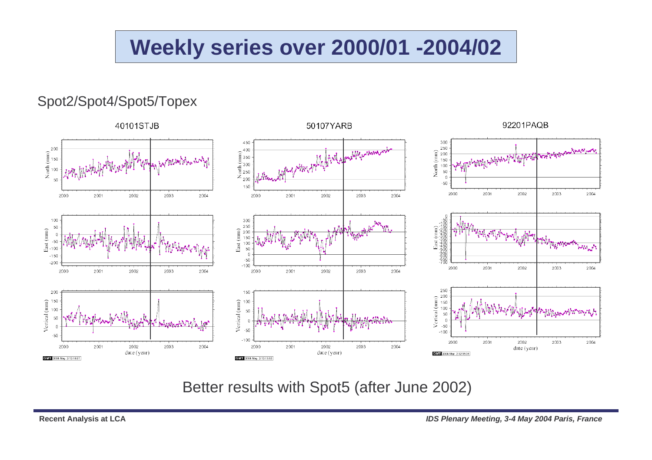# **Weekly series over 2000/01 -2004/02**

#### Spot2/Spot4/Spot5/Topex



Better results with Spot5 (after June 2002)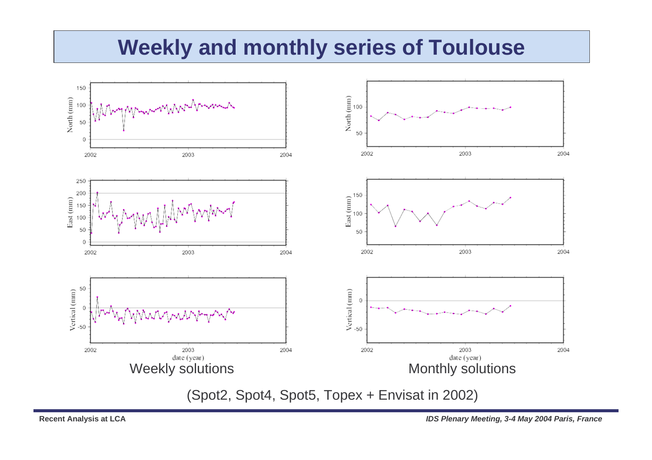### **Weekly and monthly series of Toulouse**



(Spot2, Spot4, Spot5, Topex + Envisat in 2002)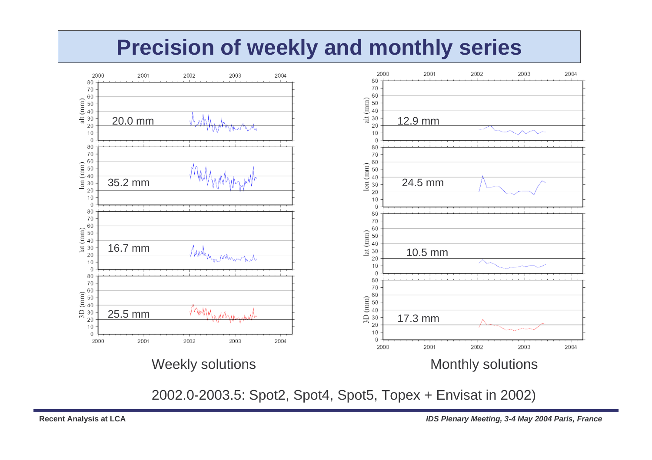### **Precision of weekly and monthly series**



2002.0-2003.5: Spot2, Spot4, Spot5, Topex + Envisat in 2002)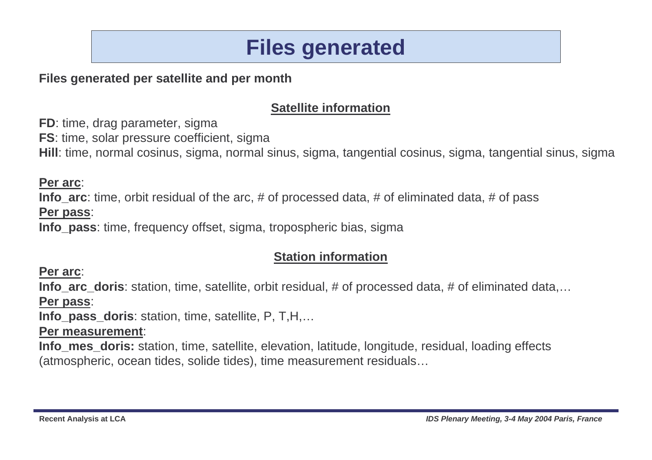### **Files generated**

#### **Files generated per satellite and per month**

#### **Satellite information**

**FD**: time, drag parameter, sigma **FS**: time, solar pressure coefficient, sigma**Hill**: time, normal cosinus, sigma, normal sinus, sigma, tangential cosinus, sigma, tangential sinus, sigma

#### **Per arc**:

**Info** arc: time, orbit residual of the arc, # of processed data, # of eliminated data, # of pass

#### **Per pass**:

**Info** pass: time, frequency offset, sigma, tropospheric bias, sigma

#### **Station information**

#### **Per arc**:

**Info arc doris**: station, time, satellite, orbit residual, # of processed data, # of eliminated data,... **Per pass**:

**Info pass doris:** station, time, satellite, P, T,H,...

#### **Per measurement**:

**Info mes doris:** station, time, satellite, elevation, latitude, longitude, residual, loading effects (atmospheric, ocean tides, solide tides), time measurement residuals…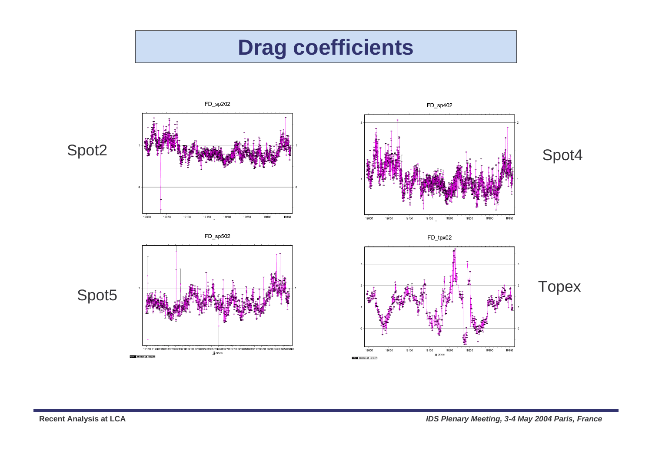### **Drag coefficients**

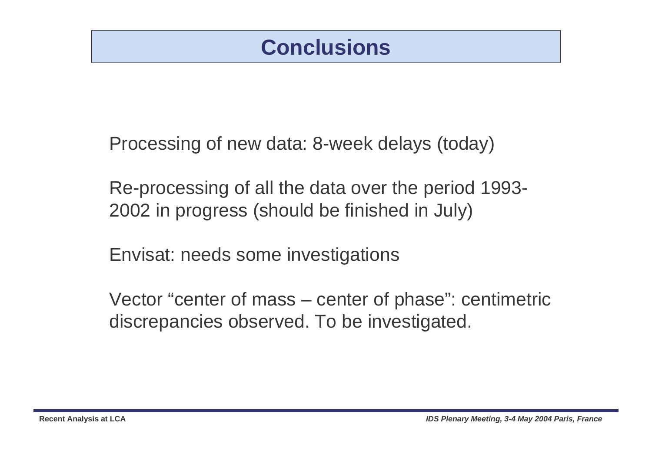### **Conclusions**

Processing of new data: 8-week delays (today)

Re-processing of all the data over the period 1993-2002 in progress (should be finished in July)

Envisat: needs some investigations

Vector "center of mass – center of phase": centimetricdiscrepancies observed. To be investigated.